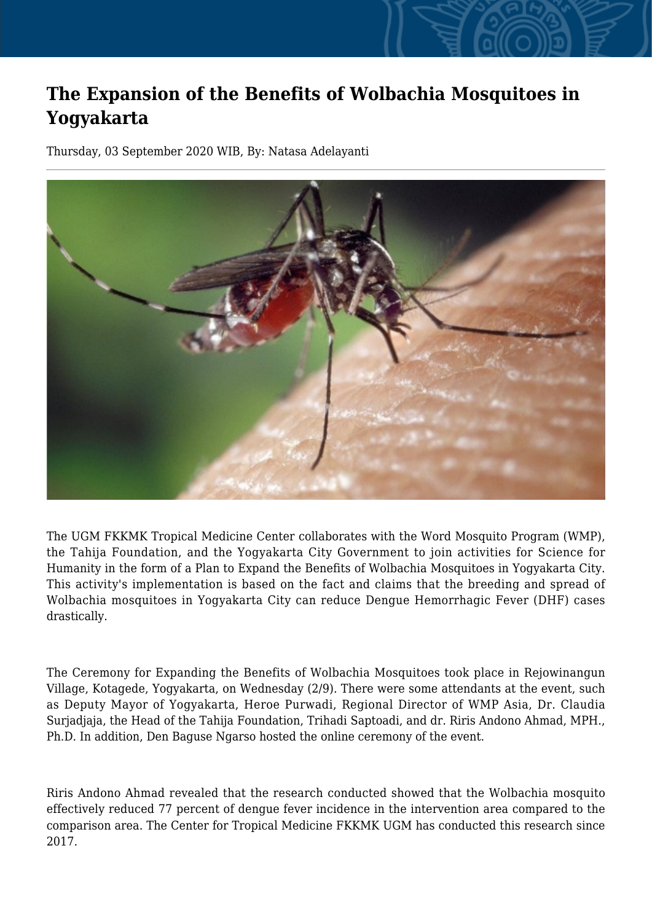## **The Expansion of the Benefits of Wolbachia Mosquitoes in Yogyakarta**

Thursday, 03 September 2020 WIB, By: Natasa Adelayanti



The UGM FKKMK Tropical Medicine Center collaborates with the Word Mosquito Program (WMP), the Tahija Foundation, and the Yogyakarta City Government to join activities for Science for Humanity in the form of a Plan to Expand the Benefits of Wolbachia Mosquitoes in Yogyakarta City. This activity's implementation is based on the fact and claims that the breeding and spread of Wolbachia mosquitoes in Yogyakarta City can reduce Dengue Hemorrhagic Fever (DHF) cases drastically.

The Ceremony for Expanding the Benefits of Wolbachia Mosquitoes took place in Rejowinangun Village, Kotagede, Yogyakarta, on Wednesday (2/9). There were some attendants at the event, such as Deputy Mayor of Yogyakarta, Heroe Purwadi, Regional Director of WMP Asia, Dr. Claudia Surjadjaja, the Head of the Tahija Foundation, Trihadi Saptoadi, and dr. Riris Andono Ahmad, MPH., Ph.D. In addition, Den Baguse Ngarso hosted the online ceremony of the event.

Riris Andono Ahmad revealed that the research conducted showed that the Wolbachia mosquito effectively reduced 77 percent of dengue fever incidence in the intervention area compared to the comparison area. The Center for Tropical Medicine FKKMK UGM has conducted this research since 2017.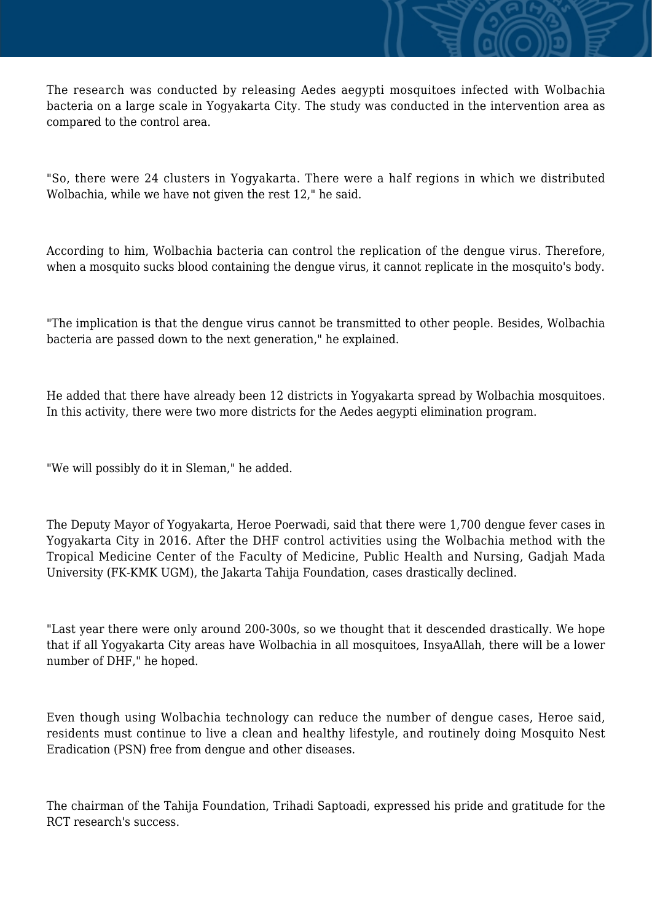The research was conducted by releasing Aedes aegypti mosquitoes infected with Wolbachia bacteria on a large scale in Yogyakarta City. The study was conducted in the intervention area as compared to the control area.

"So, there were 24 clusters in Yogyakarta. There were a half regions in which we distributed Wolbachia, while we have not given the rest 12," he said.

According to him, Wolbachia bacteria can control the replication of the dengue virus. Therefore, when a mosquito sucks blood containing the dengue virus, it cannot replicate in the mosquito's body.

"The implication is that the dengue virus cannot be transmitted to other people. Besides, Wolbachia bacteria are passed down to the next generation," he explained.

He added that there have already been 12 districts in Yogyakarta spread by Wolbachia mosquitoes. In this activity, there were two more districts for the Aedes aegypti elimination program.

"We will possibly do it in Sleman," he added.

The Deputy Mayor of Yogyakarta, Heroe Poerwadi, said that there were 1,700 dengue fever cases in Yogyakarta City in 2016. After the DHF control activities using the Wolbachia method with the Tropical Medicine Center of the Faculty of Medicine, Public Health and Nursing, Gadjah Mada University (FK-KMK UGM), the Jakarta Tahija Foundation, cases drastically declined.

"Last year there were only around 200-300s, so we thought that it descended drastically. We hope that if all Yogyakarta City areas have Wolbachia in all mosquitoes, InsyaAllah, there will be a lower number of DHF," he hoped.

Even though using Wolbachia technology can reduce the number of dengue cases, Heroe said, residents must continue to live a clean and healthy lifestyle, and routinely doing Mosquito Nest Eradication (PSN) free from dengue and other diseases.

The chairman of the Tahija Foundation, Trihadi Saptoadi, expressed his pride and gratitude for the RCT research's success.